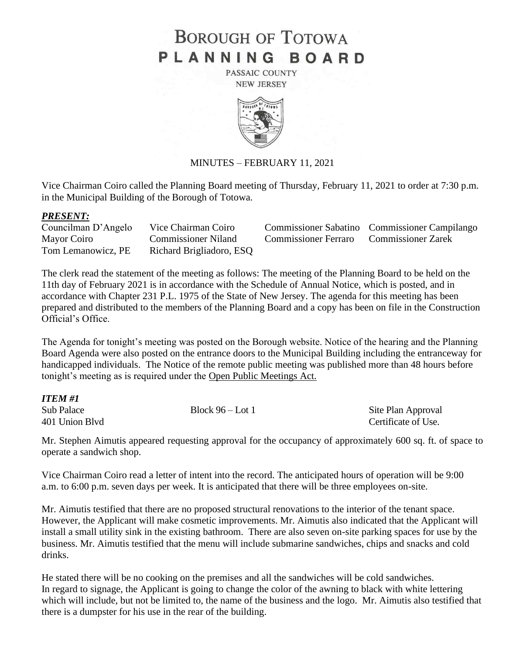# **BOROUGH OF TOTOWA** PLANNING BOARD

PASSAIC COUNTY **NEW JERSEY** 



### MINUTES – FEBRUARY 11, 2021

Vice Chairman Coiro called the Planning Board meeting of Thursday, February 11, 2021 to order at 7:30 p.m. in the Municipal Building of the Borough of Totowa.

#### *PRESENT:*

| Councilman D'Angelo | Vice Chairman Coiro        |                                                | <b>Commissioner Sabatino</b> Commissioner Campilango |
|---------------------|----------------------------|------------------------------------------------|------------------------------------------------------|
| Mayor Coiro         | <b>Commissioner Niland</b> | <b>Commissioner Ferraro</b> Commissioner Zarek |                                                      |
| Tom Lemanowicz, PE  | Richard Brigliadoro, ESQ   |                                                |                                                      |

The clerk read the statement of the meeting as follows: The meeting of the Planning Board to be held on the 11th day of February 2021 is in accordance with the Schedule of Annual Notice, which is posted, and in accordance with Chapter 231 P.L. 1975 of the State of New Jersey. The agenda for this meeting has been prepared and distributed to the members of the Planning Board and a copy has been on file in the Construction Official's Office.

The Agenda for tonight's meeting was posted on the Borough website. Notice of the hearing and the Planning Board Agenda were also posted on the entrance doors to the Municipal Building including the entranceway for handicapped individuals. The Notice of the remote public meeting was published more than 48 hours before tonight's meeting as is required under the Open Public Meetings Act.

| ITEM #1                      |                    |                                           |
|------------------------------|--------------------|-------------------------------------------|
| Sub Palace<br>401 Union Blvd | Block $96 -$ Lot 1 | Site Plan Approval<br>Certificate of Use. |

Mr. Stephen Aimutis appeared requesting approval for the occupancy of approximately 600 sq. ft. of space to operate a sandwich shop.

Vice Chairman Coiro read a letter of intent into the record. The anticipated hours of operation will be 9:00 a.m. to 6:00 p.m. seven days per week. It is anticipated that there will be three employees on-site.

Mr. Aimutis testified that there are no proposed structural renovations to the interior of the tenant space. However, the Applicant will make cosmetic improvements. Mr. Aimutis also indicated that the Applicant will install a small utility sink in the existing bathroom. There are also seven on-site parking spaces for use by the business. Mr. Aimutis testified that the menu will include submarine sandwiches, chips and snacks and cold drinks.

He stated there will be no cooking on the premises and all the sandwiches will be cold sandwiches. In regard to signage, the Applicant is going to change the color of the awning to black with white lettering which will include, but not be limited to, the name of the business and the logo. Mr. Aimutis also testified that there is a dumpster for his use in the rear of the building.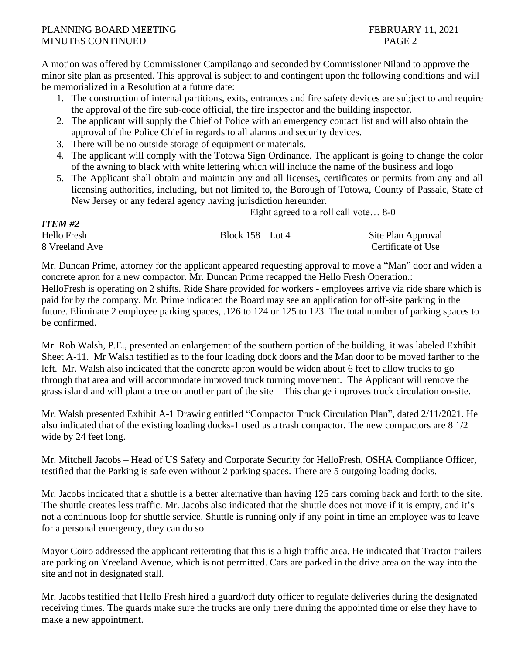# PLANNING BOARD MEETING FEBRUARY 11, 2021 MINUTES CONTINUED PAGE 2

*ITEM #2*

A motion was offered by Commissioner Campilango and seconded by Commissioner Niland to approve the minor site plan as presented. This approval is subject to and contingent upon the following conditions and will be memorialized in a Resolution at a future date:

- 1. The construction of internal partitions, exits, entrances and fire safety devices are subject to and require the approval of the fire sub-code official, the fire inspector and the building inspector.
- 2. The applicant will supply the Chief of Police with an emergency contact list and will also obtain the approval of the Police Chief in regards to all alarms and security devices.
- 3. There will be no outside storage of equipment or materials.
- 4. The applicant will comply with the Totowa Sign Ordinance. The applicant is going to change the color of the awning to black with white lettering which will include the name of the business and logo
- 5. The Applicant shall obtain and maintain any and all licenses, certificates or permits from any and all licensing authorities, including, but not limited to, the Borough of Totowa, County of Passaic, State of New Jersey or any federal agency having jurisdiction hereunder.

Eight agreed to a roll call vote… 8-0

| 11 LW #2       |                     |                    |
|----------------|---------------------|--------------------|
| Hello Fresh    | Block $158 -$ Lot 4 | Site Plan Approval |
| 8 Vreeland Ave |                     | Certificate of Use |

Mr. Duncan Prime, attorney for the applicant appeared requesting approval to move a "Man" door and widen a concrete apron for a new compactor. Mr. Duncan Prime recapped the Hello Fresh Operation.: HelloFresh is operating on 2 shifts. Ride Share provided for workers - employees arrive via ride share which is paid for by the company. Mr. Prime indicated the Board may see an application for off-site parking in the future. Eliminate 2 employee parking spaces, .126 to 124 or 125 to 123. The total number of parking spaces to be confirmed.

Mr. Rob Walsh, P.E., presented an enlargement of the southern portion of the building, it was labeled Exhibit Sheet A-11. Mr Walsh testified as to the four loading dock doors and the Man door to be moved farther to the left. Mr. Walsh also indicated that the concrete apron would be widen about 6 feet to allow trucks to go through that area and will accommodate improved truck turning movement. The Applicant will remove the grass island and will plant a tree on another part of the site – This change improves truck circulation on-site.

Mr. Walsh presented Exhibit A-1 Drawing entitled "Compactor Truck Circulation Plan", dated 2/11/2021. He also indicated that of the existing loading docks-1 used as a trash compactor. The new compactors are 8 1/2 wide by 24 feet long.

Mr. Mitchell Jacobs – Head of US Safety and Corporate Security for HelloFresh, OSHA Compliance Officer, testified that the Parking is safe even without 2 parking spaces. There are 5 outgoing loading docks.

Mr. Jacobs indicated that a shuttle is a better alternative than having 125 cars coming back and forth to the site. The shuttle creates less traffic. Mr. Jacobs also indicated that the shuttle does not move if it is empty, and it's not a continuous loop for shuttle service. Shuttle is running only if any point in time an employee was to leave for a personal emergency, they can do so.

Mayor Coiro addressed the applicant reiterating that this is a high traffic area. He indicated that Tractor trailers are parking on Vreeland Avenue, which is not permitted. Cars are parked in the drive area on the way into the site and not in designated stall.

Mr. Jacobs testified that Hello Fresh hired a guard/off duty officer to regulate deliveries during the designated receiving times. The guards make sure the trucks are only there during the appointed time or else they have to make a new appointment.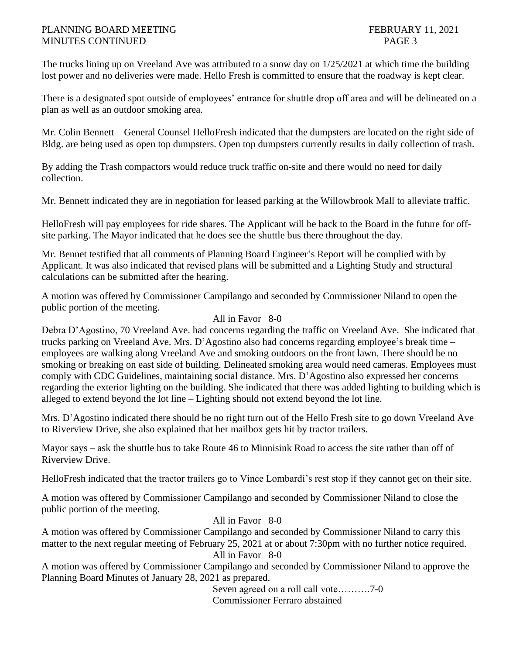## PLANNING BOARD MEETING FEBRUARY 11, 2021 MINUTES CONTINUED PAGE 3

The trucks lining up on Vreeland Ave was attributed to a snow day on 1/25/2021 at which time the building lost power and no deliveries were made. Hello Fresh is committed to ensure that the roadway is kept clear.

There is a designated spot outside of employees' entrance for shuttle drop off area and will be delineated on a plan as well as an outdoor smoking area.

Mr. Colin Bennett – General Counsel HelloFresh indicated that the dumpsters are located on the right side of Bldg. are being used as open top dumpsters. Open top dumpsters currently results in daily collection of trash.

By adding the Trash compactors would reduce truck traffic on-site and there would no need for daily collection.

Mr. Bennett indicated they are in negotiation for leased parking at the Willowbrook Mall to alleviate traffic.

HelloFresh will pay employees for ride shares. The Applicant will be back to the Board in the future for offsite parking. The Mayor indicated that he does see the shuttle bus there throughout the day.

Mr. Bennet testified that all comments of Planning Board Engineer's Report will be complied with by Applicant. It was also indicated that revised plans will be submitted and a Lighting Study and structural calculations can be submitted after the hearing.

A motion was offered by Commissioner Campilango and seconded by Commissioner Niland to open the public portion of the meeting.

# All in Favor 8-0

Debra D'Agostino, 70 Vreeland Ave. had concerns regarding the traffic on Vreeland Ave. She indicated that trucks parking on Vreeland Ave. Mrs. D'Agostino also had concerns regarding employee's break time – employees are walking along Vreeland Ave and smoking outdoors on the front lawn. There should be no smoking or breaking on east side of building. Delineated smoking area would need cameras. Employees must comply with CDC Guidelines, maintaining social distance. Mrs. D'Agostino also expressed her concerns regarding the exterior lighting on the building. She indicated that there was added lighting to building which is alleged to extend beyond the lot line – Lighting should not extend beyond the lot line.

Mrs. D'Agostino indicated there should be no right turn out of the Hello Fresh site to go down Vreeland Ave to Riverview Drive, she also explained that her mailbox gets hit by tractor trailers.

Mayor says – ask the shuttle bus to take Route 46 to Minnisink Road to access the site rather than off of Riverview Drive.

HelloFresh indicated that the tractor trailers go to Vince Lombardi's rest stop if they cannot get on their site.

A motion was offered by Commissioner Campilango and seconded by Commissioner Niland to close the public portion of the meeting.

# All in Favor 8-0

A motion was offered by Commissioner Campilango and seconded by Commissioner Niland to carry this matter to the next regular meeting of February 25, 2021 at or about 7:30pm with no further notice required. All in Favor 8-0

A motion was offered by Commissioner Campilango and seconded by Commissioner Niland to approve the Planning Board Minutes of January 28, 2021 as prepared.

> Seven agreed on a roll call vote……….7-0 Commissioner Ferraro abstained